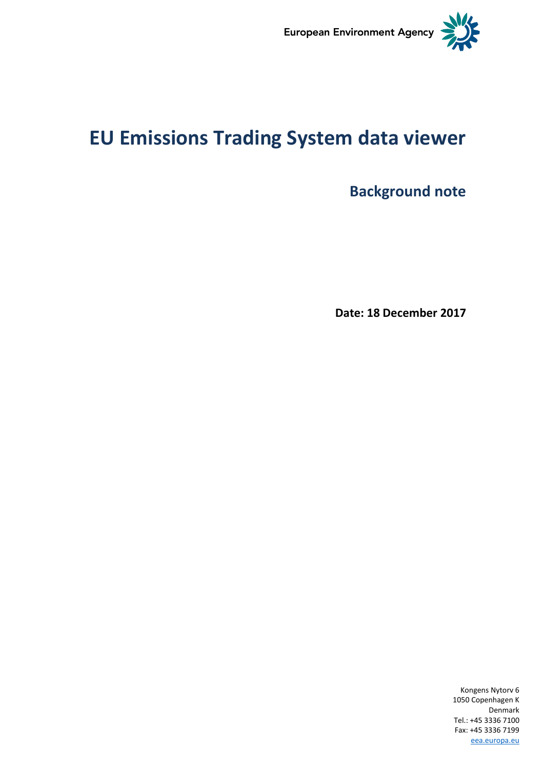

# **EU Emissions Trading System data viewer**

**Background note**

**Date: 18 December 2017**

Kongens Nytorv 6 1050 Copenhagen K Denmark Tel.: +45 3336 7100 Fax: +45 3336 7199 [eea.europa.eu](http://www.eea.europa.eu/)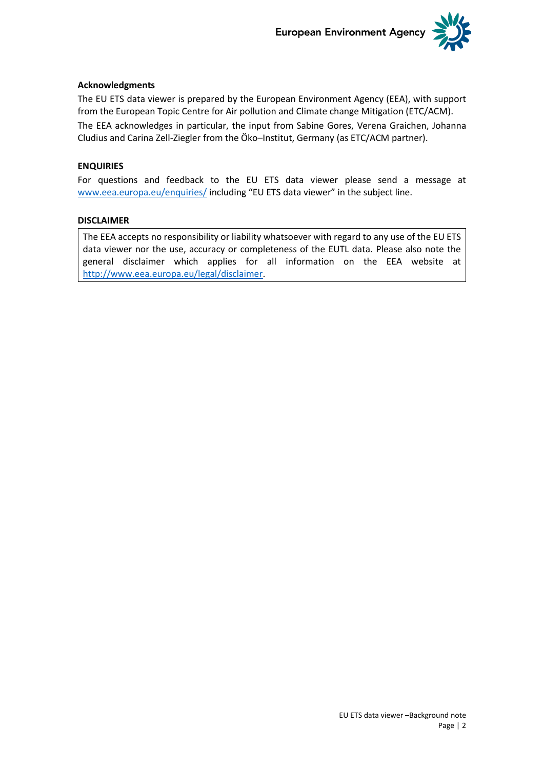

### **Acknowledgments**

The EU ETS data viewer is prepared by the European Environment Agency (EEA), with support from the European Topic Centre for Air pollution and Climate change Mitigation (ETC/ACM).

The EEA acknowledges in particular, the input from Sabine Gores, Verena Graichen, Johanna Cludius and Carina Zell-Ziegler from the Öko–Institut, Germany (as ETC/ACM partner).

### **ENQUIRIES**

For questions and feedback to the EU ETS data viewer please send a message at [www.eea.europa.eu/enquiries/](http://www.eea.europa.eu/help/infocentre/enquiries/portal_factory/Enquiry/enquiry.2009-04-03.2556519962/edit) including "EU ETS data viewer" in the subject line.

### **DISCLAIMER**

The EEA accepts no responsibility or liability whatsoever with regard to any use of the EU ETS data viewer nor the use, accuracy or completeness of the EUTL data. Please also note the general disclaimer which applies for all information on the EEA website at [http://www.eea.europa.eu/legal/disclaimer.](http://www.eea.europa.eu/legal/disclaimer)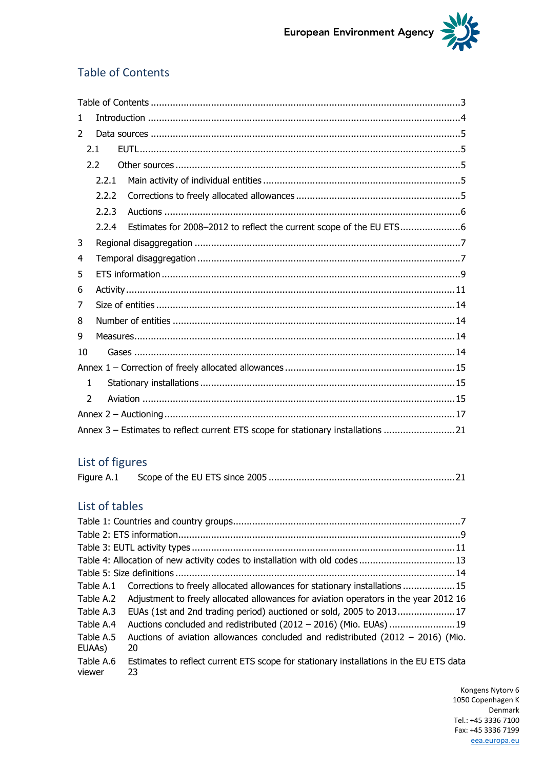

## <span id="page-2-0"></span>Table of Contents

| $\mathbf{1}$  |       |                                                                                  |  |
|---------------|-------|----------------------------------------------------------------------------------|--|
| $\mathcal{P}$ |       |                                                                                  |  |
|               | 2.1   |                                                                                  |  |
|               | 2.2   |                                                                                  |  |
|               | 2.2.1 |                                                                                  |  |
|               | 2.2.2 |                                                                                  |  |
|               | 2.2.3 |                                                                                  |  |
|               | 2.2.4 | Estimates for 2008-2012 to reflect the current scope of the EU ETS6              |  |
| 3             |       |                                                                                  |  |
| 4             |       |                                                                                  |  |
| 5             |       |                                                                                  |  |
| 6             |       |                                                                                  |  |
| 7             |       |                                                                                  |  |
| 8             |       |                                                                                  |  |
| 9             |       |                                                                                  |  |
| 10            |       |                                                                                  |  |
|               |       |                                                                                  |  |
| 1             |       |                                                                                  |  |
| $\mathcal{P}$ |       |                                                                                  |  |
|               |       |                                                                                  |  |
|               |       | Annex 3 - Estimates to reflect current ETS scope for stationary installations 21 |  |
|               |       |                                                                                  |  |

## List of figures

### List of tables

|                     | Table 4: Allocation of new activity codes to installation with old codes13                   |  |  |  |  |  |  |  |
|---------------------|----------------------------------------------------------------------------------------------|--|--|--|--|--|--|--|
|                     |                                                                                              |  |  |  |  |  |  |  |
|                     | Table A.1 Corrections to freely allocated allowances for stationary installations  15        |  |  |  |  |  |  |  |
| Table A.2           | Adjustment to freely allocated allowances for aviation operators in the year 2012 16         |  |  |  |  |  |  |  |
| Table A.3           | EUAs (1st and 2nd trading period) auctioned or sold, 2005 to 201317                          |  |  |  |  |  |  |  |
| Table A.4           | Auctions concluded and redistributed (2012 - 2016) (Mio. EUAs)  19                           |  |  |  |  |  |  |  |
| Table A.5<br>EUAAs) | Auctions of aviation allowances concluded and redistributed $(2012 - 2016)$ (Mio.<br>20      |  |  |  |  |  |  |  |
| Table A.6<br>viewer | Estimates to reflect current ETS scope for stationary installations in the EU ETS data<br>23 |  |  |  |  |  |  |  |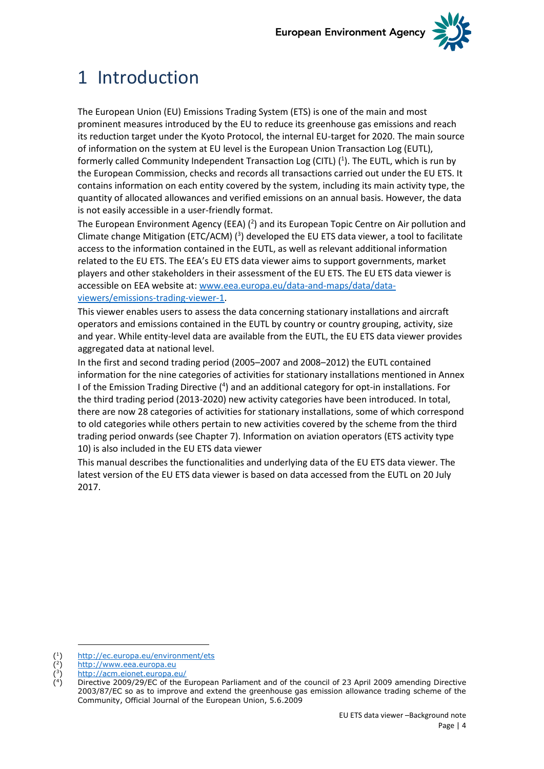

# <span id="page-3-0"></span>1 Introduction

The European Union (EU) Emissions Trading System (ETS) is one of the main and most prominent measures introduced by the EU to reduce its greenhouse gas emissions and reach its reduction target under the Kyoto Protocol, the internal EU-target for 2020. The main source of information on the system at EU level is the European Union Transaction Log (EUTL), formerly called Community Independent Transaction Log (CITL) (<sup>1</sup>). The EUTL, which is run by the European Commission, checks and records all transactions carried out under the EU ETS. It contains information on each entity covered by the system, including its main activity type, the quantity of allocated allowances and verified emissions on an annual basis. However, the data is not easily accessible in a user-friendly format.

The European Environment Agency (EEA)  $(2)$  and its European Topic Centre on Air pollution and Climate change Mitigation (ETC/ACM)  $(3)$  developed the EU ETS data viewer, a tool to facilitate access to the information contained in the EUTL, as well as relevant additional information related to the EU ETS. The EEA's EU ETS data viewer aims to support governments, market players and other stakeholders in their assessment of the EU ETS. The EU ETS data viewer is accessible on EEA website at: [www.eea.europa.eu/data-and-maps/data/data](http://www.eea.europa.eu/data-and-maps/data/data-viewers/emissions-trading-viewer)[viewers/emissions-trading-viewer-1.](http://www.eea.europa.eu/data-and-maps/data/data-viewers/emissions-trading-viewer)

This viewer enables users to assess the data concerning stationary installations and aircraft operators and emissions contained in the EUTL by country or country grouping, activity, size and year. While entity-level data are available from the EUTL, the EU ETS data viewer provides aggregated data at national level.

In the first and second trading period (2005–2007 and 2008–2012) the EUTL contained information for the nine categories of activities for stationary installations mentioned in Annex I of the Emission Trading Directive (<sup>4</sup>) and an additional category for opt-in installations. For the third trading period (2013-2020) new activity categories have been introduced. In total, there are now 28 categories of activities for stationary installations, some of which correspond to old categories while others pertain to new activities covered by the scheme from the third trading period onwards (see Chapter 7). Information on aviation operators (ETS activity type 10) is also included in the EU ETS data viewer

This manual describes the functionalities and underlying data of the EU ETS data viewer. The latest version of the EU ETS data viewer is based on data accessed from the EUTL on 20 July 2017.

<sup>(</sup> 1 ) [http://ec.europa.eu/environment/ets](http://ec.europa.eu/environment/ets/)

<sup>(</sup> 2 [http://www.eea.europa.eu](http://www.eea.europa.eu/)

<sup>(</sup> 3 ) <http://acm.eionet.europa.eu/>

<sup>(</sup> 4 ) Directive 2009/29/EC of the European Parliament and of the council of 23 April 2009 amending Directive 2003/87/EC so as to improve and extend the greenhouse gas emission allowance trading scheme of the Community, Official Journal of the European Union, 5.6.2009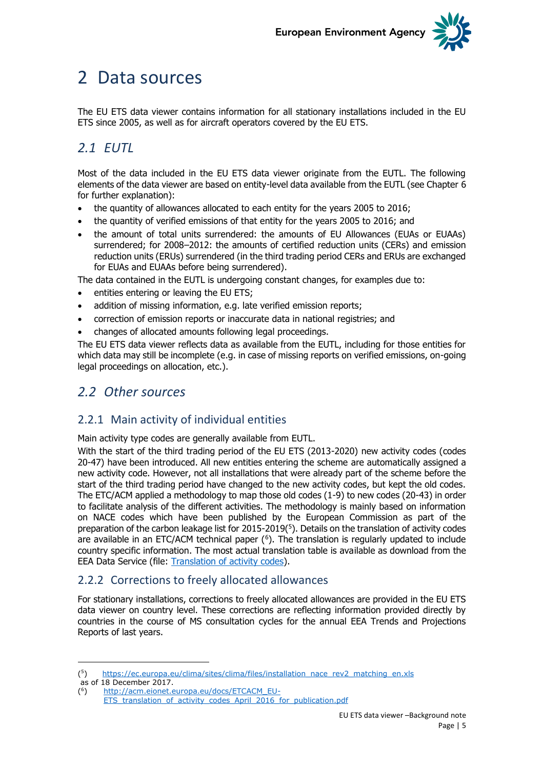

## <span id="page-4-0"></span>2 Data sources

The EU ETS data viewer contains information for all stationary installations included in the EU ETS since 2005, as well as for aircraft operators covered by the EU ETS.

## <span id="page-4-1"></span>*2.1 EUTL*

Most of the data included in the EU ETS data viewer originate from the EUTL. The following elements of the data viewer are based on entity-level data available from the EUTL (see Chapter 6 for further explanation):

- the quantity of allowances allocated to each entity for the years 2005 to 2016;
- the quantity of verified emissions of that entity for the years 2005 to 2016; and
- the amount of total units surrendered: the amounts of EU Allowances (EUAs or EUAAs) surrendered; for 2008–2012: the amounts of certified reduction units (CERs) and emission reduction units (ERUs) surrendered (in the third trading period CERs and ERUs are exchanged for EUAs and EUAAs before being surrendered).

The data contained in the EUTL is undergoing constant changes, for examples due to:

- entities entering or leaving the EU ETS;
- addition of missing information, e.g. late verified emission reports;
- correction of emission reports or inaccurate data in national registries; and
- changes of allocated amounts following legal proceedings.

The EU ETS data viewer reflects data as available from the EUTL, including for those entities for which data may still be incomplete (e.g. in case of missing reports on verified emissions, on-going legal proceedings on allocation, etc.).

## <span id="page-4-2"></span>*2.2 Other sources*

### <span id="page-4-3"></span>2.2.1 Main activity of individual entities

Main activity type codes are generally available from EUTL.

With the start of the third trading period of the EU ETS (2013-2020) new activity codes (codes 20-47) have been introduced. All new entities entering the scheme are automatically assigned a new activity code. However, not all installations that were already part of the scheme before the start of the third trading period have changed to the new activity codes, but kept the old codes. The ETC/ACM applied a methodology to map those old codes (1-9) to new codes (20-43) in order to facilitate analysis of the different activities. The methodology is mainly based on information on NACE codes which have been published by the European Commission as part of the preparation of the carbon leakage list for  $2015-2019<sup>(5)</sup>$ . Details on the translation of activity codes are available in an ETC/ACM technical paper  $(6)$ . The translation is regularly updated to include country specific information. The most actual translation table is available as download from the EEA Data Service (file: [Translation of activity codes\)](https://www.eea.europa.eu/data-and-maps/data/european-union-emissions-trading-scheme-2/#tab-additional-information).

### <span id="page-4-4"></span>2.2.2 Corrections to freely allocated allowances

For stationary installations, corrections to freely allocated allowances are provided in the EU ETS data viewer on country level. These corrections are reflecting information provided directly by countries in the course of MS consultation cycles for the annual EEA Trends and Projections Reports of last years.

( 5 [https://ec.europa.eu/clima/sites/clima/files/installation\\_nace\\_rev2\\_matching\\_en.xls](https://ec.europa.eu/clima/sites/clima/files/installation_nace_rev2_matching_en.xls)

as of 18 December 2017.

<sup>(</sup> 6 ) [http://acm.eionet.europa.eu/docs/ETCACM\\_EU-](http://acm.eionet.europa.eu/docs/ETCACM_EU-ETS_translation_of_activity_codes_April_2016_for_publication.pdf)

ETS translation of activity codes April 2016 for publication.pdf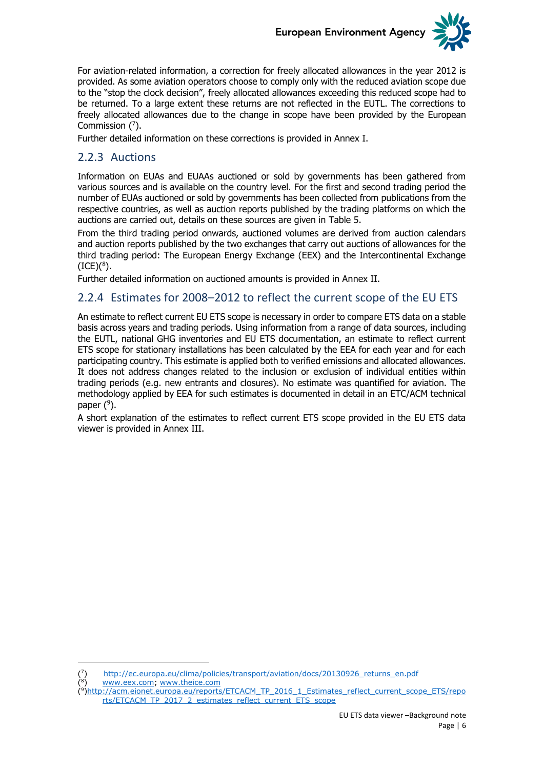

For aviation-related information, a correction for freely allocated allowances in the year 2012 is provided. As some aviation operators choose to comply only with the reduced aviation scope due to the "stop the clock decision", freely allocated allowances exceeding this reduced scope had to be returned. To a large extent these returns are not reflected in the EUTL. The corrections to freely allocated allowances due to the change in scope have been provided by the European Commission  $(7)$ .

Further detailed information on these corrections is provided in Annex I.

### <span id="page-5-0"></span>2.2.3 Auctions

Information on EUAs and EUAAs auctioned or sold by governments has been gathered from various sources and is available on the country level. For the first and second trading period the number of EUAs auctioned or sold by governments has been collected from publications from the respective countries, as well as auction reports published by the trading platforms on which the auctions are carried out, details on these sources are given in [Table 5.](#page-13-4)

From the third trading period onwards, auctioned volumes are derived from auction calendars and auction reports published by the two exchanges that carry out auctions of allowances for the third trading period: The European Energy Exchange (EEX) and the Intercontinental Exchange  $(ICE)(<sup>8</sup>)$ .

Further detailed information on auctioned amounts is provided in Annex II.

### <span id="page-5-1"></span>2.2.4 Estimates for 2008–2012 to reflect the current scope of the EU ETS

An estimate to reflect current EU ETS scope is necessary in order to compare ETS data on a stable basis across years and trading periods. Using information from a range of data sources, including the EUTL, national GHG inventories and EU ETS documentation, an estimate to reflect current ETS scope for stationary installations has been calculated by the EEA for each year and for each participating country. This estimate is applied both to verified emissions and allocated allowances. It does not address changes related to the inclusion or exclusion of individual entities within trading periods (e.g. new entrants and closures). No estimate was quantified for aviation. The methodology applied by EEA for such estimates is documented in detail in an ETC/ACM technical paper  $(9)$ .

A short explanation of the estimates to reflect current ETS scope provided in the EU ETS data viewer is provided in Annex III.

8 ) [www.eex.com;](http://www.eex.com/) [www.theice.com](http://www.theice.com/)

-( 7

(

<sup>)</sup> [http://ec.europa.eu/clima/policies/transport/aviation/docs/20130926\\_returns\\_en.pdf](http://ec.europa.eu/clima/policies/transport/aviation/docs/20130926_returns_en.pdf)

<sup>(&</sup>lt;sup>9</sup>[\)http://acm.eionet.europa.eu/reports/ETCACM\\_TP\\_2016\\_1\\_Estimates\\_reflect\\_current\\_scope\\_ETS/repo](http://acm.eionet.europa.eu/reports/ETCACM_TP_2016_1_Estimates_reflect_current_scope_ETS/reports/ETCACM_TP_2017_2_estimates_reflect_current_ETS_scope) [rts/ETCACM\\_TP\\_2017\\_2\\_estimates\\_reflect\\_current\\_ETS\\_scope](http://acm.eionet.europa.eu/reports/ETCACM_TP_2016_1_Estimates_reflect_current_scope_ETS/reports/ETCACM_TP_2017_2_estimates_reflect_current_ETS_scope)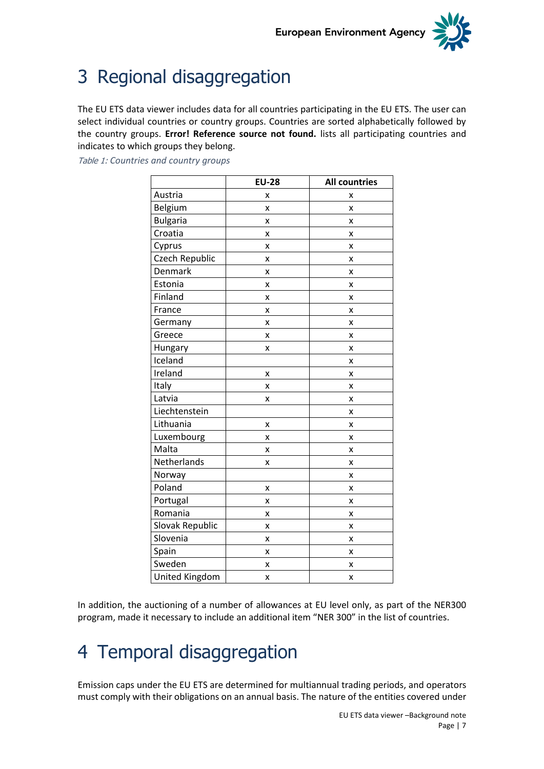

# <span id="page-6-0"></span>3 Regional disaggregation

The EU ETS data viewer includes data for all countries participating in the EU ETS. The user can select individual countries or country groups. Countries are sorted alphabetically followed by the country groups. **Error! Reference source not found.** lists all participating countries and indicates to which groups they belong.

|                       | <b>EU-28</b> | <b>All countries</b> |
|-----------------------|--------------|----------------------|
| Austria               | x            | x                    |
| Belgium               | x            | X                    |
| <b>Bulgaria</b>       | x            | X                    |
| Croatia               | x            | X                    |
| Cyprus                | X            | x                    |
| Czech Republic        | x            | x                    |
| Denmark               | X            | X                    |
| Estonia               | X            | X                    |
| Finland               | x            | x                    |
| France                | x            | X                    |
| Germany               | X            | X                    |
| Greece                | x            | X                    |
| Hungary               | x            | X                    |
| Iceland               |              | X                    |
| Ireland               | X            | Χ                    |
| Italy                 | X            | X                    |
| Latvia                | x            | X                    |
| Liechtenstein         |              | x                    |
| Lithuania             | X            | X                    |
| Luxembourg            | X            | X                    |
| Malta                 | X            | x                    |
| Netherlands           | x            | X                    |
| Norway                |              | X                    |
| Poland                | X            | X                    |
| Portugal              | X            | X                    |
| Romania               | x            | x                    |
| Slovak Republic       | X            | x                    |
| Slovenia              | X            | X                    |
| Spain                 | Χ            | X                    |
| Sweden                | X            | x                    |
| <b>United Kingdom</b> | X            | X                    |

<span id="page-6-2"></span>Table 1: *Countries and country groups*

In addition, the auctioning of a number of allowances at EU level only, as part of the NER300 program, made it necessary to include an additional item "NER 300" in the list of countries.

# <span id="page-6-1"></span>4 Temporal disaggregation

Emission caps under the EU ETS are determined for multiannual trading periods, and operators must comply with their obligations on an annual basis. The nature of the entities covered under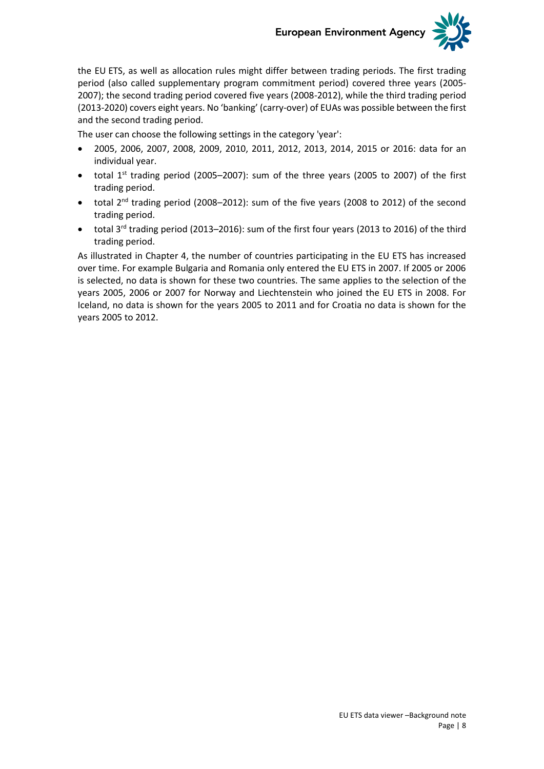

the EU ETS, as well as allocation rules might differ between trading periods. The first trading period (also called supplementary program commitment period) covered three years (2005- 2007); the second trading period covered five years (2008-2012), while the third trading period (2013-2020) covers eight years. No 'banking' (carry-over) of EUAs was possible between the first and the second trading period.

The user can choose the following settings in the category 'year':

- 2005, 2006, 2007, 2008, 2009, 2010, 2011, 2012, 2013, 2014, 2015 or 2016: data for an individual year.
- total  $1^{st}$  trading period (2005–2007): sum of the three years (2005 to 2007) of the first trading period.
- total 2<sup>nd</sup> trading period (2008–2012): sum of the five years (2008 to 2012) of the second trading period.
- total 3rd trading period (2013–2016): sum of the first four years (2013 to 2016) of the third trading period.

As illustrated in Chapter 4, the number of countries participating in the EU ETS has increased over time. For example Bulgaria and Romania only entered the EU ETS in 2007. If 2005 or 2006 is selected, no data is shown for these two countries. The same applies to the selection of the years 2005, 2006 or 2007 for Norway and Liechtenstein who joined the EU ETS in 2008. For Iceland, no data is shown for the years 2005 to 2011 and for Croatia no data is shown for the years 2005 to 2012.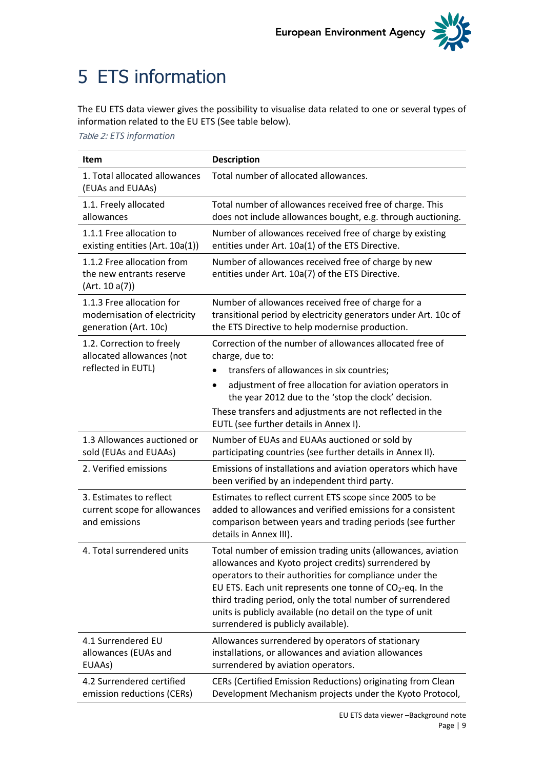

# <span id="page-8-0"></span>5 ETS information

The EU ETS data viewer gives the possibility to visualise data related to one or several types of information related to the EU ETS (See table below).

<span id="page-8-1"></span>Table 2: *ETS information*

| <b>Item</b>                                                                        | <b>Description</b>                                                                                                                                                                                                                                                                                                                                                                                                |  |  |  |  |  |
|------------------------------------------------------------------------------------|-------------------------------------------------------------------------------------------------------------------------------------------------------------------------------------------------------------------------------------------------------------------------------------------------------------------------------------------------------------------------------------------------------------------|--|--|--|--|--|
| 1. Total allocated allowances<br>(EUAs and EUAAs)                                  | Total number of allocated allowances.                                                                                                                                                                                                                                                                                                                                                                             |  |  |  |  |  |
| 1.1. Freely allocated<br>allowances                                                | Total number of allowances received free of charge. This<br>does not include allowances bought, e.g. through auctioning.                                                                                                                                                                                                                                                                                          |  |  |  |  |  |
| 1.1.1 Free allocation to<br>existing entities (Art. 10a(1))                        | Number of allowances received free of charge by existing<br>entities under Art. 10a(1) of the ETS Directive.                                                                                                                                                                                                                                                                                                      |  |  |  |  |  |
| 1.1.2 Free allocation from<br>the new entrants reserve<br>(Art. 10 a(7))           | Number of allowances received free of charge by new<br>entities under Art. 10a(7) of the ETS Directive.                                                                                                                                                                                                                                                                                                           |  |  |  |  |  |
| 1.1.3 Free allocation for<br>modernisation of electricity<br>generation (Art. 10c) | Number of allowances received free of charge for a<br>transitional period by electricity generators under Art. 10c of<br>the ETS Directive to help modernise production.                                                                                                                                                                                                                                          |  |  |  |  |  |
| 1.2. Correction to freely<br>allocated allowances (not                             | Correction of the number of allowances allocated free of<br>charge, due to:                                                                                                                                                                                                                                                                                                                                       |  |  |  |  |  |
| reflected in EUTL)                                                                 | transfers of allowances in six countries;                                                                                                                                                                                                                                                                                                                                                                         |  |  |  |  |  |
|                                                                                    | adjustment of free allocation for aviation operators in<br>$\bullet$<br>the year 2012 due to the 'stop the clock' decision.                                                                                                                                                                                                                                                                                       |  |  |  |  |  |
|                                                                                    | These transfers and adjustments are not reflected in the<br>EUTL (see further details in Annex I).                                                                                                                                                                                                                                                                                                                |  |  |  |  |  |
| 1.3 Allowances auctioned or<br>sold (EUAs and EUAAs)                               | Number of EUAs and EUAAs auctioned or sold by<br>participating countries (see further details in Annex II).                                                                                                                                                                                                                                                                                                       |  |  |  |  |  |
| 2. Verified emissions                                                              | Emissions of installations and aviation operators which have<br>been verified by an independent third party.                                                                                                                                                                                                                                                                                                      |  |  |  |  |  |
| 3. Estimates to reflect<br>current scope for allowances<br>and emissions           | Estimates to reflect current ETS scope since 2005 to be<br>added to allowances and verified emissions for a consistent<br>comparison between years and trading periods (see further<br>details in Annex III).                                                                                                                                                                                                     |  |  |  |  |  |
| 4. Total surrendered units                                                         | Total number of emission trading units (allowances, aviation<br>allowances and Kyoto project credits) surrendered by<br>operators to their authorities for compliance under the<br>EU ETS. Each unit represents one tonne of $CO2$ -eq. In the<br>third trading period, only the total number of surrendered<br>units is publicly available (no detail on the type of unit<br>surrendered is publicly available). |  |  |  |  |  |
| 4.1 Surrendered EU<br>allowances (EUAs and<br>EUAAs)                               | Allowances surrendered by operators of stationary<br>installations, or allowances and aviation allowances<br>surrendered by aviation operators.                                                                                                                                                                                                                                                                   |  |  |  |  |  |
| 4.2 Surrendered certified<br>emission reductions (CERs)                            | CERs (Certified Emission Reductions) originating from Clean<br>Development Mechanism projects under the Kyoto Protocol,                                                                                                                                                                                                                                                                                           |  |  |  |  |  |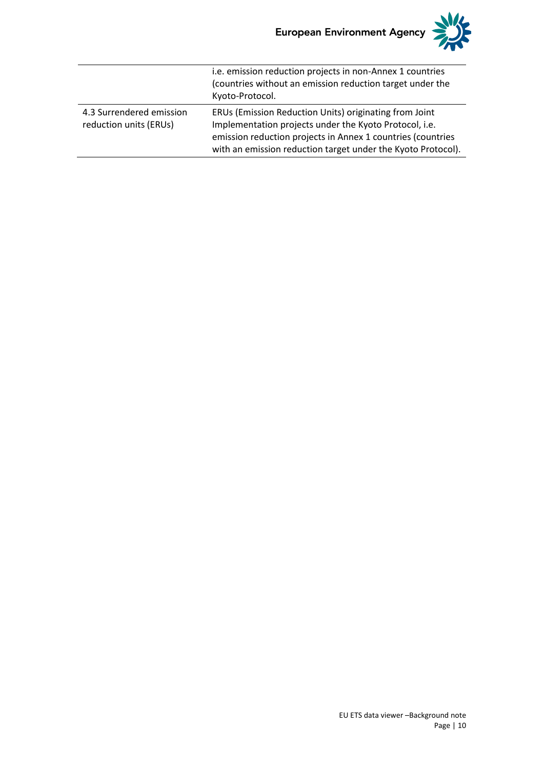

|                                                    | i.e. emission reduction projects in non-Annex 1 countries<br>(countries without an emission reduction target under the<br>Kyoto-Protocol.                                                                                                       |
|----------------------------------------------------|-------------------------------------------------------------------------------------------------------------------------------------------------------------------------------------------------------------------------------------------------|
| 4.3 Surrendered emission<br>reduction units (ERUs) | ERUs (Emission Reduction Units) originating from Joint<br>Implementation projects under the Kyoto Protocol, i.e.<br>emission reduction projects in Annex 1 countries (countries<br>with an emission reduction target under the Kyoto Protocol). |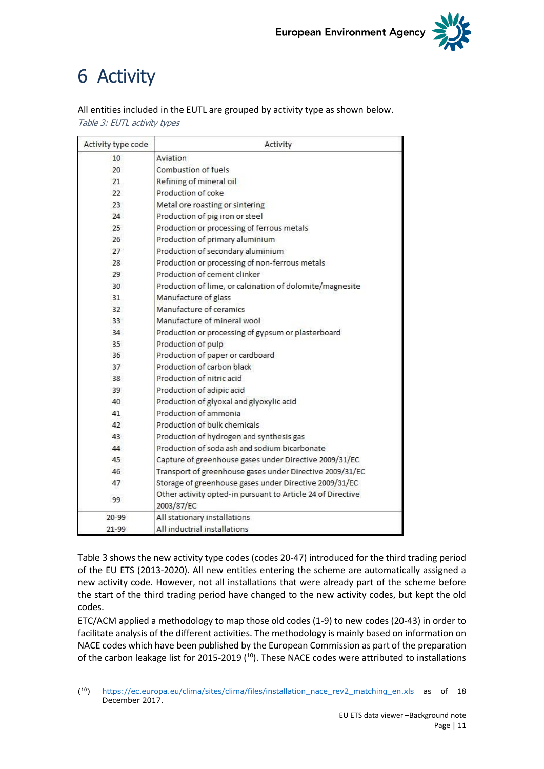

# <span id="page-10-0"></span>6 Activity

-

<span id="page-10-1"></span>All entities included in the EUTL are grouped by activity type as shown below. Table 3: EUTL activity types

| Activity type code | Activity                                                                  |
|--------------------|---------------------------------------------------------------------------|
| 10 <sup>1</sup>    | Aviation                                                                  |
| 20                 | Combustion of fuels                                                       |
| 21                 | Refining of mineral oil                                                   |
| 22                 | Production of coke                                                        |
| 23                 | Metal ore roasting or sintering                                           |
| 24                 | Production of pig iron or steel                                           |
| 25                 | Production or processing of ferrous metals                                |
| 26                 | Production of primary aluminium                                           |
| 27                 | Production of secondary aluminium                                         |
| 28                 | Production or processing of non-ferrous metals                            |
| 29                 | Production of cement clinker                                              |
| 30                 | Production of lime, or calcination of dolomite/magnesite                  |
| 31                 | Manufacture of glass                                                      |
| 32                 | Manufacture of ceramics                                                   |
| 33                 | Manufacture of mineral wool                                               |
| 34                 | Production or processing of gypsum or plasterboard                        |
| 35                 | Production of pulp                                                        |
| 36                 | Production of paper or cardboard                                          |
| 37                 | Production of carbon black                                                |
| 38                 | Production of nitric acid                                                 |
| 39                 | Production of adipic acid                                                 |
| 40                 | Production of glyoxal and glyoxylic acid                                  |
| 41                 | Production of ammonia                                                     |
| 42                 | Production of bulk chemicals                                              |
| 43                 | Production of hydrogen and synthesis gas                                  |
| 44                 | Production of soda ash and sodium bicarbonate                             |
| 45                 | Capture of greenhouse gases under Directive 2009/31/EC                    |
| 46                 | Transport of greenhouse gases under Directive 2009/31/EC                  |
| 47                 | Storage of greenhouse gases under Directive 2009/31/EC                    |
| 99                 | Other activity opted-in pursuant to Article 24 of Directive<br>2003/87/EC |
| $20 - 99$          | All stationary installations                                              |
| $21 - 99$          | All inductrial installations                                              |

[Table 3](#page-10-1) shows the new activity type codes (codes 20-47) introduced for the third trading period of the EU ETS (2013-2020). All new entities entering the scheme are automatically assigned a new activity code. However, not all installations that were already part of the scheme before the start of the third trading period have changed to the new activity codes, but kept the old codes.

ETC/ACM applied a methodology to map those old codes (1-9) to new codes (20-43) in order to facilitate analysis of the different activities. The methodology is mainly based on information on NACE codes which have been published by the European Commission as part of the preparation of the carbon leakage list for 2015-2019 (<sup>10</sup>). These NACE codes were attributed to installations

 $(10)$ [https://ec.europa.eu/clima/sites/clima/files/installation\\_nace\\_rev2\\_matching\\_en.xls](https://ec.europa.eu/clima/sites/clima/files/installation_nace_rev2_matching_en.xls) as of 18 December 2017.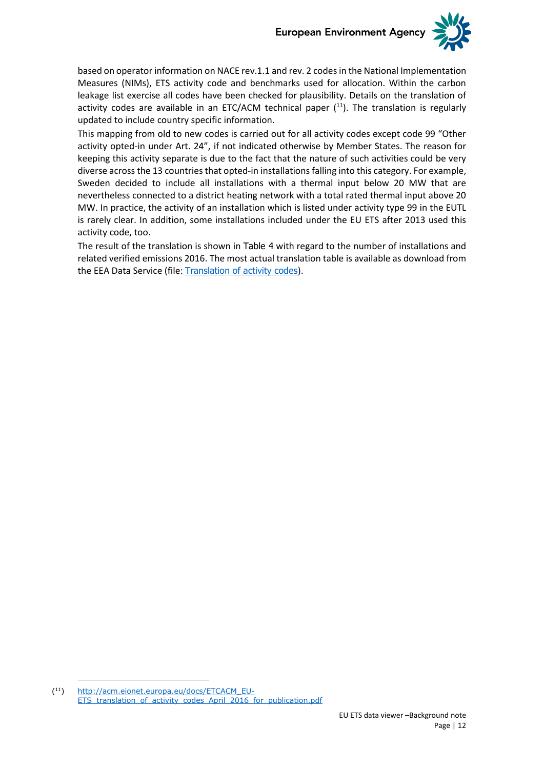

based on operator information on NACE rev.1.1 and rev. 2 codes in the National Implementation Measures (NIMs), ETS activity code and benchmarks used for allocation. Within the carbon leakage list exercise all codes have been checked for plausibility. Details on the translation of activity codes are available in an ETC/ACM technical paper  $(11)$ . The translation is regularly updated to include country specific information.

This mapping from old to new codes is carried out for all activity codes except code 99 "Other activity opted-in under Art. 24", if not indicated otherwise by Member States. The reason for keeping this activity separate is due to the fact that the nature of such activities could be very diverse across the 13 countries that opted-in installations falling into this category. For example, Sweden decided to include all installations with a thermal input below 20 MW that are nevertheless connected to a district heating network with a total rated thermal input above 20 MW. In practice, the activity of an installation which is listed under activity type 99 in the EUTL is rarely clear. In addition, some installations included under the EU ETS after 2013 used this activity code, too.

The result of the translation is shown in [Table 4](#page-12-0) with regard to the number of installations and related verified emissions 2016. The most actual translation table is available as download from the EEA Data Service (file: [Translation of activity codes](https://www.eea.europa.eu/data-and-maps/data/european-union-emissions-trading-scheme-2/#tab-additional-information)).

 $(11)$ [http://acm.eionet.europa.eu/docs/ETCACM\\_EU-](http://acm.eionet.europa.eu/docs/ETCACM_EU-ETS_translation_of_activity_codes_April_2016_for_publication.pdf)ETS translation of activity codes April 2016 for publication.pdf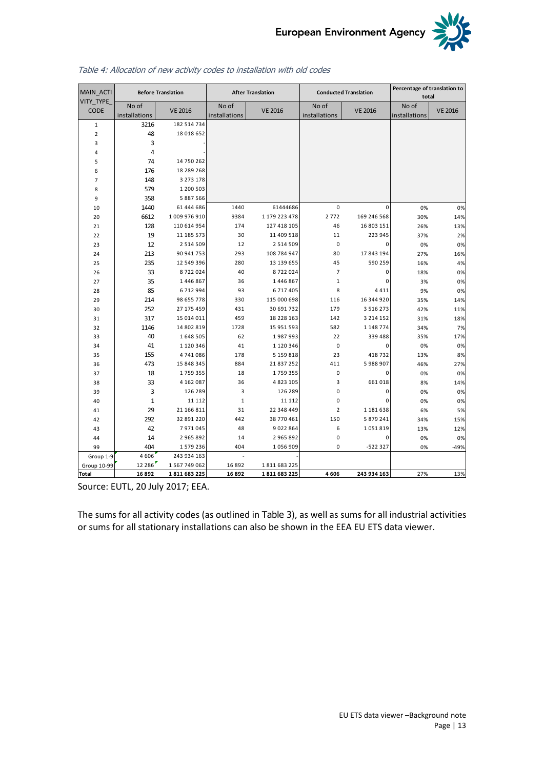

No of  $intallations$  VE 2016 No of  $intallations$  VE 2016 No of  $intallations$  VE 2016 No of  $intallations$  VE 2016 1 3216 182 514 734 2 48 18 018 652 3 3 - 4 4 - 5 74 14 750 262 6 176 18 289 268 7 148 3 273 178 8 579 1 200 503 9 358 5 887 566  $\begin{array}{c|cccccc}\n6 & 1/6 & 18289268 \\
7 & 148 & 3273178 \\
8 & 579 & 1200503 \\
9 & 358 & 5887566 \\
10 & 1440 & 61444686 \\
 & 1440 & 61444686 \\
 & 1440 & 61444686 \\
 & 1440 & 61444686 \\
 & 1479223478 & 2772 & 169246568 \\
 & 2772 & 169246568 & 30\% \\
 & 30\% & 14\% \\
\end{array}$  $\begin{array}{c|cccccc} 7 & 146 & 3275 & 176 \\ 8 & 579 & 1 & 200 & 503 \\ 9 & 358 & 5 & 887 & 566 \\ 10 & 1440 & 61 & 444 & 686 \\ 20 & 6612 & 1 & 009 & 976 & 910 \\ 128 & 110 & 614 & 954 & 174 & 127 & 418 & 105 \\ 128 & 110 & 614 & 954 & 174 & 127 & 418 & 105 \\ \end{array}$ 2 1 <sup>128</sup> 110 614 954 174 127 418 105 46 16 803 151 26% 13%  $\begin{array}{|c|cccc|} \hline 9 & 358 & 588/566 \ \hline && 61444686 & 1440 & 61444686 & 0 & 0 & 0\% & 0\% \ \hline 20 & 6612 & 1009\,976\,910 & 9384 & 1179\,223\,478 & 2772 & 169\,246\,568 & 30\% & 14\% \ \hline 128 & 110\,614\,954 & 174 & 127\,418\,105 & 46 & 16\,803\,15$ 2 3 <sup>12</sup> 2 514 509 1 2 2 514 509 0 0 0 % 0 % 2 4 <sup>213</sup> 90 941 753 293 108 784 947 80 17 843 194 27% 16%  $\begin{array}{cccccccccccc} 21 & 128 & 110\ 14 & 94 & 174 & 127418 & 105 & 40 & 10\ 803 & 151 & 208 & 1378 & 1378 \ 23 & 12 & 2514\ 509 & 12 & 2514\ 509 & 12 & 2514\ 509 & 12 & 2514\ 509 & 12 & 2514\ 509 & 12 & 2514\ 509 & 12 & 2514\ 509 & 12 & 2514\ 509 & 12 & 2514\ 5$  $\begin{array}{cccccccccccc} 22 & 19 & 11185573 & 30 & 11409518 & 11 & 223945 & 37\% & 2\% \ 23 & 12 & 2514509 & 12 & 2514509 & 0 & 0\% & 0\% \ 24 & 213 & 90941753 & 293 & 108784947 & 80 & 17843194 & 27\% & 16\% \ 25 & 235 & 12549396 & 280 & 13139655 & 45 & 590259 & 16\% &$  $\begin{array}{cccccccccccc} 23 & 12 & 2514509 & 12 & 2514509 & 0 & 0 & 0\% & 0\% \ 24 & 213 & 90941753 & 293 & 108784947 & 80 & 17843194 & 27\% & 16\% \ 255 & 235 & 12549396 & 280 & 13139655 & 45 & 590259 & 16\% & 4\% \ 26 & 33 & 8722024 & 40 & 8722024 & 7 & 0 & 18\% & 0\%$  $\begin{array}{cccccccccccc} 24 & 213 & 90941753 & 293 & 108784947 & 80 & 17843194 & 27\% & 16\% \ 25 & 235 & 12549396 & 280 & 13139655 & 45 & 590259 & 16\% & 4\% \ 33 & 8722024 & 40 & 8722024 & 7 & 0 & 18\% & 0\% \ 25 & 35 & 1446867 & 36 & 1446867 & 1 & 0 & 3\% & 0\% \ 85 &$  $\begin{array}{cccccccc} 25 & 235 & 12349\ 39 & 8722\ 024 & 40 & 8722\ 024 & 7 & 0 & 1886 & 0\% \ 25 & 35 & 1446\ 867 & 36 & 1446\ 867 & 372\ 028 & 85 & 6712\ 94 & 93 & 6717\ 409 & 87 & 8 & 441 & 9\% & 0\% \ 214 & 98\ 655\ 778 & 330 & 115\ 000\ 698 & 116 & 16\ 344\$ 3 0 <sup>252</sup> 27 175 459 431 30 691 732 179 3 516 273 42% 11%  $\begin{array}{cccccccc} 27 & 35 & 1440.807 & 36 & 1440.807 \\ 28 & 85 & 6712.994 & 93 & 6717.405 & 8 & 4411 & 9\% & 0\% \\ 29 & 214 & 98.655.778 & 330 & 115.000.698 & 116 & 16.344.920 & 35\% & 14\% \\ 30 & 252 & 27.175.459 & 431 & 30.691.732 & 179 & 3.516.273 & 42\% &$  $\begin{array}{cccccccccccc} 28 & 85 & 6 & 712 & 994 & 93 & 6 & 717 & 405 \\ 29 & 214 & 98 & 655 & 778 & 330 & 115 & 000 & 698 & 116 & 16 & 344 & 920 & 35\% & 14\% \\ 30 & 252 & 27 & 175 & 459 & 431 & 30 & 691 & 732 & 179 & 3 & 516 & 273 & 42\% & 11\% \\ 31 & 317 & 15 & 014 & 011 & 459$ 3 3 <sup>40</sup> 1 648 505 6 2 1 987 993 22 339 488 35% 17% 3 4 <sup>41</sup> 1 120 346 4 1 1 120 346 0 0 0 % 0 %  $\begin{array}{cccccccccccc} 31 & 31/ & 15\ 014\ 011 & 459 & 18228\ 15951\ 5951\ 592 & 1148\ 774 & 34\% & 7\% \end{array}$   $\begin{array}{cccccccc} 31/ & 15\ 014\ 011 & 459 & 18228\ 15951\ 592 & 1142 & 3214\ 152 & 31\% & 51\% & 51\% \end{array}$   $\begin{array}{cccccccc} 31/ & 15\ 014\ 011 & 459 & 182$  $\begin{array}{cccccccccccc} 32 & 1140 & 14802819 & 1728 & 15951393 & 582 & 11487/4 & 34\% & 7\% \end{array}$   $\begin{array}{cccccccc} 33 & 40 & 1648505 & 62 & 1987993 & 22 & 339488 & 35\% & 17\% \end{array}$   $\begin{array}{cccccccc} 34 & 1120346 & 41 & 1120346 & 0 & 0 & 0\% & 0\% \end{array}$   $\begin{array}{cccccccc} 35 & 35 &$  $\begin{array}{cccccccccccc} 33 & 40 & 1 & 648 & 5015 & 62 & 1 & 987 & 993 & 22 & 339 & 488 & 35\% & 17\% \ 34 & 41 & 1 & 120 & 346 & 41 & 1 & 120 & 346 & 0 & 0 & 0\% & 0\% \ 155 & 4 & 741 & 086 & 178 & 5 & 159 & 818 & 23 & 418 & 732 & 13\% & 8\% \ 473 & 15 & 848 & 345 & 884 & 21 & 83$ 3 8 <sup>33</sup> 4 162 087 3 6 4 823 105 3 661 018 8 % 14% 3 9 <sup>3</sup> 126 289 3 126 289 0 0 0 % 0 % 4 0 <sup>1</sup> 11 112 1 11 112 0 0 0 % 0 % 4 1 <sup>29</sup> 21 166 811 3 1 22 348 449 2 1 181 638 6 % 5 %  $\begin{array}{cccccccc} 33 & & 33 & & 4 & 102 & 087 \\ 39 & & 3 & & 126 & 289 \\ 40 & & 1 & & 11 & 112 \\ 41 & & 29 & & 21 & 166 & 811 \\ 42 & & 292 & & 32 & 891 & 220 \\ 43 & & 42 & & 7 & 971 & 045 \end{array} \hspace{1.5cm} , \qquad \begin{array}{cccc} 30 & & 48 & 23 & 105 \\ 48 & & 126 & 289 \\ 31 & & 126 & 289 \\ 38 & 770$ 4 3 <sup>42</sup> 7 971 045 4 8 9 022 864 6 1 051 819 13% 12%  $\begin{array}{c|cccccc} 40 & 1 & 11112 & 1 & 11112 & 0 & 0 & 0\% & 0\% \ 41 & 29 & 21166811 & 31 & 22348449 & 2 & 1181638 & 6\% & 5\% \ 292 & 32891220 & 442 & 38770461 & 150 & 5879241 & 34\% & 15\% \ 44 & 14 & 2965892 & 14 & 2965892 & 0 & 0 & 0\% & 0\% \ 404 & 1579236 &$  $\begin{array}{cccccccc} 41 & 29 & 21166811 & 31 & 22348449 & 2 & 1181638 & 6\% & 5\% \end{array}$ <br>  $\begin{array}{cccccccc} 42 & 29 & 21166811 & 31 & 22348449 & 2 & 1181638 & 6\% & 5\% \end{array}$ <br>  $\begin{array}{cccccccc} 42 & 7971045 & 48 & 9022864 & 6 & 1051819 & 13\% & 12\% \end{array}$ <br>  $\begin{array}{cccccccc} 444 &$ Group 1-9 4 606 243 934 163<br>
roup 10-99 12 286 1 567 749 062 Group 10-99 12 286 1 267 749 062 16 892 1 811 683 225 16 892 1 811 683 225 **Total 16 892 1 811 683 225 16 892 1 811 683 225 4 606 243 934 163** 27% 13% MAIN\_ACTI VITY\_TYPE\_ CODE **Before Translation After Translation Conducted Translation Percentage of translation to total** 

#### <span id="page-12-0"></span>Table 4: Allocation of new activity codes to installation with old codes

Source: EUTL, 20 July 2017; EEA.

The sums for all activity codes (as outlined in [Table 3](#page-10-1)), as well as sums for all industrial activities or sums for all stationary installations can also be shown in the EEA EU ETS data viewer.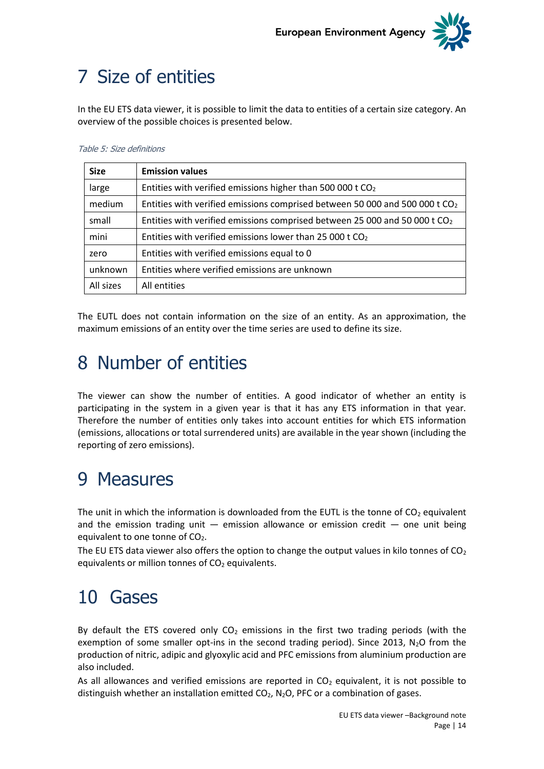

# <span id="page-13-0"></span>7 Size of entities

In the EU ETS data viewer, it is possible to limit the data to entities of a certain size category. An overview of the possible choices is presented below.

#### <span id="page-13-4"></span>Table 5: Size definitions

| <b>Size</b> | <b>Emission values</b>                                                                  |
|-------------|-----------------------------------------------------------------------------------------|
| large       | Entities with verified emissions higher than 500 000 t $CO2$                            |
| medium      | Entities with verified emissions comprised between 50 000 and 500 000 t CO <sub>2</sub> |
| small       | Entities with verified emissions comprised between 25 000 and 50 000 t CO <sub>2</sub>  |
| mini        | Entities with verified emissions lower than 25 000 t $CO2$                              |
| zero        | Entities with verified emissions equal to 0                                             |
| unknown     | Entities where verified emissions are unknown                                           |
| All sizes   | All entities                                                                            |

The EUTL does not contain information on the size of an entity. As an approximation, the maximum emissions of an entity over the time series are used to define its size.

## <span id="page-13-1"></span>8 Number of entities

The viewer can show the number of entities. A good indicator of whether an entity is participating in the system in a given year is that it has any ETS information in that year. Therefore the number of entities only takes into account entities for which ETS information (emissions, allocations or total surrendered units) are available in the year shown (including the reporting of zero emissions).

## <span id="page-13-2"></span>9 Measures

The unit in which the information is downloaded from the EUTL is the tonne of  $CO<sub>2</sub>$  equivalent and the emission trading unit  $-$  emission allowance or emission credit  $-$  one unit being equivalent to one tonne of CO<sub>2</sub>.

The EU ETS data viewer also offers the option to change the output values in kilo tonnes of  $CO<sub>2</sub>$ equivalents or million tonnes of  $CO<sub>2</sub>$  equivalents.

## <span id="page-13-3"></span>10 Gases

By default the ETS covered only  $CO<sub>2</sub>$  emissions in the first two trading periods (with the exemption of some smaller opt-ins in the second trading period). Since 2013,  $N_2O$  from the production of nitric, adipic and glyoxylic acid and PFC emissions from aluminium production are also included.

As all allowances and verified emissions are reported in  $CO<sub>2</sub>$  equivalent, it is not possible to distinguish whether an installation emitted  $CO<sub>2</sub>$ , N<sub>2</sub>O, PFC or a combination of gases.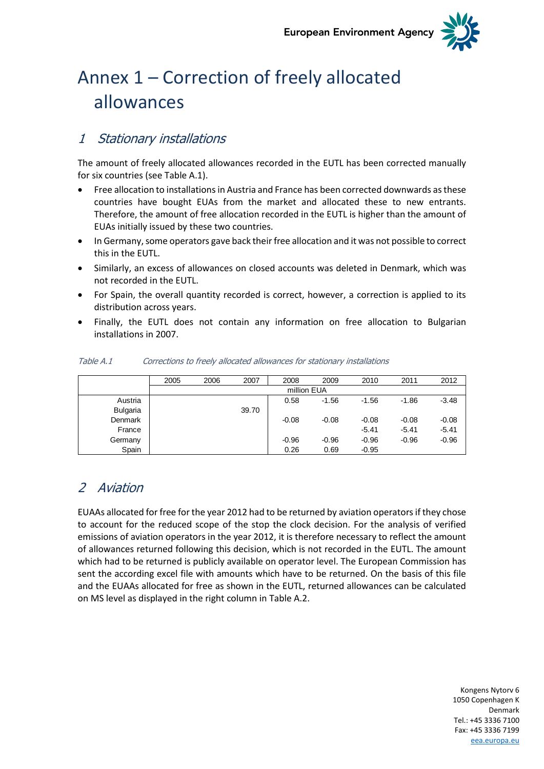**European Environment Agency** 



# <span id="page-14-0"></span>Annex 1 – Correction of freely allocated allowances

## <span id="page-14-1"></span>1 Stationary installations

The amount of freely allocated allowances recorded in the EUTL has been corrected manually for six countries (see [Table A.1\)](#page-14-3).

- Free allocation to installations in Austria and France has been corrected downwards as these countries have bought EUAs from the market and allocated these to new entrants. Therefore, the amount of free allocation recorded in the EUTL is higher than the amount of EUAs initially issued by these two countries.
- In Germany, some operators gave back their free allocation and it was not possible to correct this in the EUTL.
- Similarly, an excess of allowances on closed accounts was deleted in Denmark, which was not recorded in the EUTL.
- For Spain, the overall quantity recorded is correct, however, a correction is applied to its distribution across years.
- Finally, the EUTL does not contain any information on free allocation to Bulgarian installations in 2007.

|                 | 2005 | 2006 | 2007  | 2008        | 2009    | 2010    | 2011    | 2012    |
|-----------------|------|------|-------|-------------|---------|---------|---------|---------|
|                 |      |      |       | million EUA |         |         |         |         |
| Austria         |      |      |       | 0.58        | $-1.56$ | $-1.56$ | $-1.86$ | $-3.48$ |
| <b>Bulgaria</b> |      |      | 39.70 |             |         |         |         |         |
| <b>Denmark</b>  |      |      |       | $-0.08$     | $-0.08$ | $-0.08$ | $-0.08$ | $-0.08$ |
| France          |      |      |       |             |         | $-5.41$ | $-5.41$ | $-5.41$ |
| Germany         |      |      |       | $-0.96$     | $-0.96$ | $-0.96$ | $-0.96$ | $-0.96$ |
| Spain           |      |      |       | 0.26        | 0.69    | $-0.95$ |         |         |

### <span id="page-14-3"></span>Table A.1 Corrections to freely allocated allowances for stationary installations

## <span id="page-14-2"></span>2 Aviation

EUAAs allocated for free for the year 2012 had to be returned by aviation operators if they chose to account for the reduced scope of the stop the clock decision. For the analysis of verified emissions of aviation operators in the year 2012, it is therefore necessary to reflect the amount of allowances returned following this decision, which is not recorded in the EUTL. The amount which had to be returned is publicly available on operator level. The European Commission has sent the according excel file with amounts which have to be returned. On the basis of this file and the EUAAs allocated for free as shown in the EUTL, returned allowances can be calculated on MS level as displayed in the right column in [Table A.2.](#page-15-0)

> Kongens Nytorv 6 1050 Copenhagen K Denmark Tel.: +45 3336 7100 Fax: +45 3336 7199 [eea.europa.eu](http://www.eea.europa.eu/)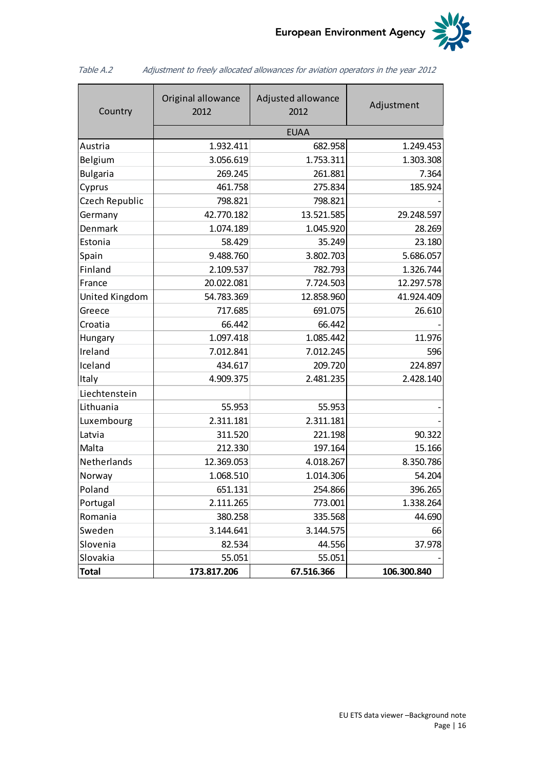

| Country         | Original allowance<br>2012 | Adjusted allowance<br>2012 | Adjustment  |  |  |  |  |  |  |  |
|-----------------|----------------------------|----------------------------|-------------|--|--|--|--|--|--|--|
|                 | <b>EUAA</b>                |                            |             |  |  |  |  |  |  |  |
| Austria         | 1.932.411                  | 682.958                    | 1.249.453   |  |  |  |  |  |  |  |
| Belgium         | 3.056.619                  | 1.753.311                  | 1.303.308   |  |  |  |  |  |  |  |
| <b>Bulgaria</b> | 269.245                    | 261.881                    | 7.364       |  |  |  |  |  |  |  |
| Cyprus          | 461.758                    | 275.834                    | 185.924     |  |  |  |  |  |  |  |
| Czech Republic  | 798.821                    | 798.821                    |             |  |  |  |  |  |  |  |
| Germany         | 42.770.182                 | 13.521.585                 | 29.248.597  |  |  |  |  |  |  |  |
| Denmark         | 1.074.189                  | 1.045.920                  | 28.269      |  |  |  |  |  |  |  |
| Estonia         | 58.429                     | 35.249                     | 23.180      |  |  |  |  |  |  |  |
| Spain           | 9.488.760                  | 3.802.703                  | 5.686.057   |  |  |  |  |  |  |  |
| Finland         | 2.109.537                  | 782.793                    | 1.326.744   |  |  |  |  |  |  |  |
| France          | 20.022.081                 | 7.724.503                  | 12.297.578  |  |  |  |  |  |  |  |
| United Kingdom  | 54.783.369                 | 12.858.960                 | 41.924.409  |  |  |  |  |  |  |  |
| Greece          | 717.685                    | 691.075                    | 26.610      |  |  |  |  |  |  |  |
| Croatia         | 66.442                     | 66.442                     |             |  |  |  |  |  |  |  |
| Hungary         | 1.097.418                  | 1.085.442                  | 11.976      |  |  |  |  |  |  |  |
| Ireland         | 7.012.841                  | 7.012.245                  | 596         |  |  |  |  |  |  |  |
| Iceland         | 434.617                    | 209.720                    | 224.897     |  |  |  |  |  |  |  |
| Italy           | 4.909.375                  | 2.481.235                  | 2.428.140   |  |  |  |  |  |  |  |
| Liechtenstein   |                            |                            |             |  |  |  |  |  |  |  |
| Lithuania       | 55.953                     | 55.953                     |             |  |  |  |  |  |  |  |
| Luxembourg      | 2.311.181                  | 2.311.181                  |             |  |  |  |  |  |  |  |
| Latvia          | 311.520                    | 221.198                    | 90.322      |  |  |  |  |  |  |  |
| Malta           | 212.330                    | 197.164                    | 15.166      |  |  |  |  |  |  |  |
| Netherlands     | 12.369.053                 | 4.018.267                  | 8.350.786   |  |  |  |  |  |  |  |
| Norway          | 1.068.510                  | 1.014.306                  | 54.204      |  |  |  |  |  |  |  |
| Poland          | 651.131                    | 254.866                    | 396.265     |  |  |  |  |  |  |  |
| Portugal        | 2.111.265                  | 773.001                    | 1.338.264   |  |  |  |  |  |  |  |
| Romania         | 380.258                    | 335.568                    | 44.690      |  |  |  |  |  |  |  |
| Sweden          | 3.144.641                  | 3.144.575                  | 66          |  |  |  |  |  |  |  |
| Slovenia        | 82.534                     | 44.556                     | 37.978      |  |  |  |  |  |  |  |
| Slovakia        | 55.051                     | 55.051                     |             |  |  |  |  |  |  |  |
| <b>Total</b>    | 173.817.206                | 67.516.366                 | 106.300.840 |  |  |  |  |  |  |  |

<span id="page-15-0"></span>Table A.2 Adjustment to freely allocated allowances for aviation operators in the year 2012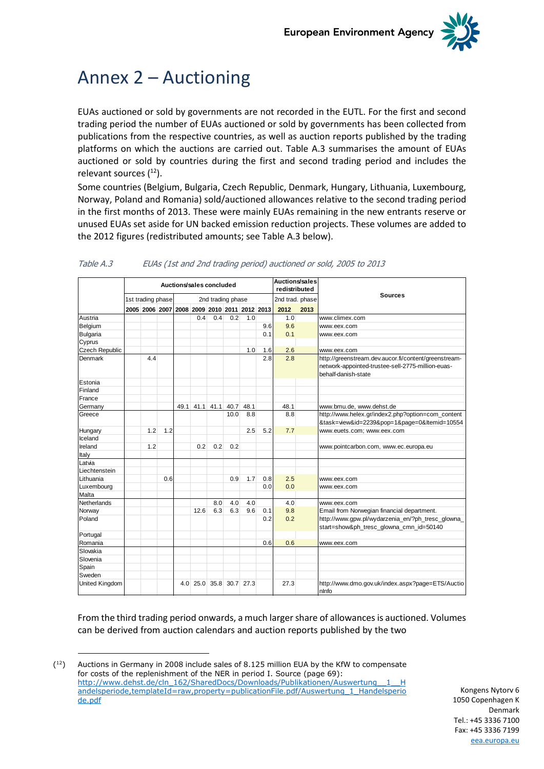

## <span id="page-16-0"></span>Annex 2 – Auctioning

EUAs auctioned or sold by governments are not recorded in the EUTL. For the first and second trading period the number of EUAs auctioned or sold by governments has been collected from publications from the respective countries, as well as auction reports published by the trading platforms on which the auctions are carried out. [Table A.3](#page-16-1) summarises the amount of EUAs auctioned or sold by countries during the first and second trading period and includes the relevant sources  $(^{12})$ .

Some countries (Belgium, Bulgaria, Czech Republic, Denmark, Hungary, Lithuania, Luxembourg, Norway, Poland and Romania) sold/auctioned allowances relative to the second trading period in the first months of 2013. These were mainly EUAs remaining in the new entrants reserve or unused EUAs set aside for UN backed emission reduction projects. These volumes are added to the 2012 figures (redistributed amounts; see [Table A.3](#page-16-1) below).

|                       | Auctions/sales concluded |                   |     |                  |                               |                   |           |      |     | <b>Auctions/sales</b> |      |                                                                                                                                  |  |  |
|-----------------------|--------------------------|-------------------|-----|------------------|-------------------------------|-------------------|-----------|------|-----|-----------------------|------|----------------------------------------------------------------------------------------------------------------------------------|--|--|
|                       |                          |                   |     |                  |                               |                   |           |      |     | redistributed         |      |                                                                                                                                  |  |  |
|                       |                          | 1st trading phase |     |                  |                               | 2nd trading phase |           |      |     | 2nd trad. phase       |      | <b>Sources</b>                                                                                                                   |  |  |
|                       |                          | 2005 2006 2007    |     |                  | 2008 2009 2010 2011 2012 2013 |                   |           |      |     | 2012                  | 2013 |                                                                                                                                  |  |  |
| Austria               |                          |                   |     |                  | 0.4                           | 0.4               | 0.2       | 1.0  |     | 1.0                   |      | www.climex.com                                                                                                                   |  |  |
| Belgium               |                          |                   |     |                  |                               |                   |           |      | 9.6 | 9.6                   |      | www.eex.com                                                                                                                      |  |  |
| <b>Bulgaria</b>       |                          |                   |     |                  |                               |                   |           |      | 0.1 | 0.1                   |      | www.eex.com                                                                                                                      |  |  |
| Cyprus                |                          |                   |     |                  |                               |                   |           |      |     |                       |      |                                                                                                                                  |  |  |
| <b>Czech Republic</b> |                          |                   |     |                  |                               |                   |           | 1.0  | 1.6 | 2.6                   |      | www.eex.com                                                                                                                      |  |  |
| Denmark               |                          | 4.4               |     |                  |                               |                   |           |      | 2.8 | 2.8                   |      | http://greenstream.dev.aucor.fi/content/greenstream-<br>network-appointed-trustee-sell-2775-million-euas-<br>behalf-danish-state |  |  |
| Estonia               |                          |                   |     |                  |                               |                   |           |      |     |                       |      |                                                                                                                                  |  |  |
| Finland               |                          |                   |     |                  |                               |                   |           |      |     |                       |      |                                                                                                                                  |  |  |
| France                |                          |                   |     |                  |                               |                   |           |      |     |                       |      |                                                                                                                                  |  |  |
| Germany               |                          |                   |     | 49.1             |                               | 41.1 41.1         | 40.7      | 48.1 |     | 48.1                  |      | www.bmu.de, www.dehst.de                                                                                                         |  |  |
| Greece                |                          |                   |     |                  |                               |                   | 10.0      | 8.8  |     | 8.8                   |      | http://www.helex.gr/index2.php?option=com_content<br>&task=view&id=2239&pop=1&page=0&Itemid=10554                                |  |  |
| Hungary               |                          | 1.2               | 1.2 |                  |                               |                   |           | 2.5  | 5.2 | 7.7                   |      | www.euets.com; www.eex.com                                                                                                       |  |  |
| Iceland               |                          |                   |     |                  |                               |                   |           |      |     |                       |      |                                                                                                                                  |  |  |
| Ireland               |                          | 1.2               |     |                  | 0.2                           | 0.2               | 0.2       |      |     |                       |      | www.pointcarbon.com, www.ec.europa.eu                                                                                            |  |  |
| Italy                 |                          |                   |     |                  |                               |                   |           |      |     |                       |      |                                                                                                                                  |  |  |
| Latvia                |                          |                   |     |                  |                               |                   |           |      |     |                       |      |                                                                                                                                  |  |  |
| Liechtenstein         |                          |                   |     |                  |                               |                   |           |      |     |                       |      |                                                                                                                                  |  |  |
| Lithuania             |                          |                   | 0.6 |                  |                               |                   | 0.9       | 1.7  | 0.8 | 2.5                   |      | www.eex.com                                                                                                                      |  |  |
| Luxembourg            |                          |                   |     |                  |                               |                   |           |      | 0.0 | 0.0                   |      | www.eex.com                                                                                                                      |  |  |
| Malta                 |                          |                   |     |                  |                               |                   |           |      |     |                       |      |                                                                                                                                  |  |  |
| Netherlands           |                          |                   |     |                  |                               | 8.0               | 4.0       | 4.0  |     | 4.0                   |      | www.eex.com                                                                                                                      |  |  |
| Norway                |                          |                   |     |                  | 12.6                          | 6.3               | 6.3       | 9.6  | 0.1 | 9.8                   |      | Email from Norwegian financial department.                                                                                       |  |  |
| Poland                |                          |                   |     |                  |                               |                   |           |      | 0.2 | 0.2                   |      | http://www.gpw.pl/wydarzenia_en/?ph_tresc_glowna_<br>start=show&ph tresc glowna cmn id=50140                                     |  |  |
| Portugal              |                          |                   |     |                  |                               |                   |           |      |     |                       |      |                                                                                                                                  |  |  |
| Romania               |                          |                   |     |                  |                               |                   |           |      | 0.6 | 0.6                   |      | www.eex.com                                                                                                                      |  |  |
| Slovakia              |                          |                   |     |                  |                               |                   |           |      |     |                       |      |                                                                                                                                  |  |  |
| Slovenia              |                          |                   |     |                  |                               |                   |           |      |     |                       |      |                                                                                                                                  |  |  |
| Spain                 |                          |                   |     |                  |                               |                   |           |      |     |                       |      |                                                                                                                                  |  |  |
| Sweden                |                          |                   |     |                  |                               |                   |           |      |     |                       |      |                                                                                                                                  |  |  |
| <b>United Kingdom</b> |                          |                   |     | 4.0 <sup>1</sup> | 25.0                          |                   | 35.8 30.7 | 27.3 |     | 27.3                  |      | http://www.dmo.gov.uk/index.aspx?page=ETS/Auctio<br>nlnfo                                                                        |  |  |

### <span id="page-16-1"></span>Table A.3 EUAs (1st and 2nd trading period) auctioned or sold, 2005 to 2013

From the third trading period onwards, a much larger share of allowances is auctioned. Volumes can be derived from auction calendars and auction reports published by the two

 $(12)$ <sup>12</sup>) Auctions in Germany in 2008 include sales of 8.125 million EUA by the KfW to compensate for costs of the replenishment of the NER in period I. Source (page 69): http://www.dehst.de/cln\_162/SharedDocs/Downloads/Publikationen/Auswertung 1\_\_H [andelsperiode,templateId=raw,property=publicationFile.pdf/Auswertung\\_1\\_Handelsperio](http://www.dehst.de/cln_162/SharedDocs/Downloads/Publikationen/Auswertung__1__Handelsperiode,templateId=raw,property=publicationFile.pdf/Auswertung_1_Handelsperiode.pdf) [de.pdf](http://www.dehst.de/cln_162/SharedDocs/Downloads/Publikationen/Auswertung__1__Handelsperiode,templateId=raw,property=publicationFile.pdf/Auswertung_1_Handelsperiode.pdf)

-

Kongens Nytorv 6 1050 Copenhagen K Denmark Tel.: +45 3336 7100 Fax: +45 3336 7199 [eea.europa.eu](http://www.eea.europa.eu/)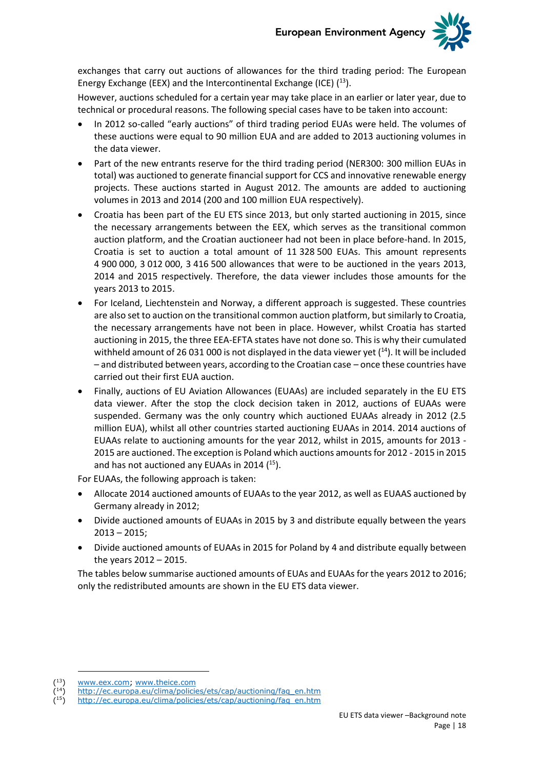

exchanges that carry out auctions of allowances for the third trading period: The European Energy Exchange (EEX) and the Intercontinental Exchange (ICE)  $(13)$ .

However, auctions scheduled for a certain year may take place in an earlier or later year, due to technical or procedural reasons. The following special cases have to be taken into account:

- In 2012 so-called "early auctions" of third trading period EUAs were held. The volumes of these auctions were equal to 90 million EUA and are added to 2013 auctioning volumes in the data viewer.
- Part of the new entrants reserve for the third trading period (NER300: 300 million EUAs in total) was auctioned to generate financial support for CCS and innovative renewable energy projects. These auctions started in August 2012. The amounts are added to auctioning volumes in 2013 and 2014 (200 and 100 million EUA respectively).
- Croatia has been part of the EU ETS since 2013, but only started auctioning in 2015, since the necessary arrangements between the EEX, which serves as the transitional common auction platform, and the Croatian auctioneer had not been in place before-hand. In 2015, Croatia is set to auction a total amount of 11 328 500 EUAs. This amount represents 4 900 000, 3 012 000, 3 416 500 allowances that were to be auctioned in the years 2013, 2014 and 2015 respectively. Therefore, the data viewer includes those amounts for the years 2013 to 2015.
- For Iceland, Liechtenstein and Norway, a different approach is suggested. These countries are also set to auction on the transitional common auction platform, but similarly to Croatia, the necessary arrangements have not been in place. However, whilst Croatia has started auctioning in 2015, the three EEA-EFTA states have not done so. This is why their cumulated withheld amount of 26 031 000 is not displayed in the data viewer yet  $(14)$ . It will be included – and distributed between years, according to the Croatian case – once these countries have carried out their first EUA auction.
- Finally, auctions of EU Aviation Allowances (EUAAs) are included separately in the EU ETS data viewer. After the stop the clock decision taken in 2012, auctions of EUAAs were suspended. Germany was the only country which auctioned EUAAs already in 2012 (2.5 million EUA), whilst all other countries started auctioning EUAAs in 2014. 2014 auctions of EUAAs relate to auctioning amounts for the year 2012, whilst in 2015, amounts for 2013 - 2015 are auctioned. The exception is Poland which auctions amounts for 2012 - 2015 in 2015 and has not auctioned any EUAAs in 2014 (<sup>15</sup>).

For EUAAs, the following approach is taken:

- Allocate 2014 auctioned amounts of EUAAs to the year 2012, as well as EUAAS auctioned by Germany already in 2012;
- Divide auctioned amounts of EUAAs in 2015 by 3 and distribute equally between the years  $2013 - 2015$ ;
- Divide auctioned amounts of EUAAs in 2015 for Poland by 4 and distribute equally between the years 2012 – 2015.

The tables below summarise auctioned amounts of EUAs and EUAAs for the years 2012 to 2016; only the redistributed amounts are shown in the EU ETS data viewer.

( [www.eex.com;](http://www.eex.com/) [www.theice.com](http://www.theice.com/) (

[http://ec.europa.eu/clima/policies/ets/cap/auctioning/faq\\_en.htm](http://ec.europa.eu/clima/policies/ets/cap/auctioning/faq_en.htm)

<sup>(</sup> [http://ec.europa.eu/clima/policies/ets/cap/auctioning/faq\\_en.htm](http://ec.europa.eu/clima/policies/ets/cap/auctioning/faq_en.htm)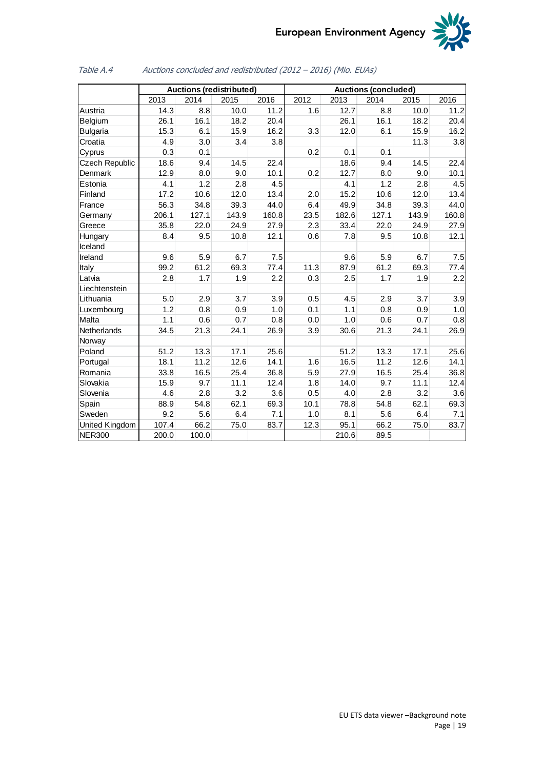

|                       |       | <b>Auctions (redistributed)</b> |       |       | <b>Auctions (concluded)</b> |       |       |       |       |  |
|-----------------------|-------|---------------------------------|-------|-------|-----------------------------|-------|-------|-------|-------|--|
|                       | 2013  | 2014                            | 2015  | 2016  | 2012                        | 2013  | 2014  | 2015  | 2016  |  |
| Austria               | 14.3  | 8.8                             | 10.0  | 11.2  | 1.6                         | 12.7  | 8.8   | 10.0  | 11.2  |  |
| Belgium               | 26.1  | 16.1                            | 18.2  | 20.4  |                             | 26.1  | 16.1  | 18.2  | 20.4  |  |
| <b>Bulgaria</b>       | 15.3  | 6.1                             | 15.9  | 16.2  | 3.3                         | 12.0  | 6.1   | 15.9  | 16.2  |  |
| Croatia               | 4.9   | 3.0                             | 3.4   | 3.8   |                             |       |       | 11.3  | 3.8   |  |
| Cyprus                | 0.3   | 0.1                             |       |       | 0.2                         | 0.1   | 0.1   |       |       |  |
| <b>Czech Republic</b> | 18.6  | 9.4                             | 14.5  | 22.4  |                             | 18.6  | 9.4   | 14.5  | 22.4  |  |
| Denmark               | 12.9  | 8.0                             | 9.0   | 10.1  | 0.2                         | 12.7  | 8.0   | 9.0   | 10.1  |  |
| Estonia               | 4.1   | 1.2                             | 2.8   | 4.5   |                             | 4.1   | 1.2   | 2.8   | 4.5   |  |
| Finland               | 17.2  | 10.6                            | 12.0  | 13.4  | 2.0                         | 15.2  | 10.6  | 12.0  | 13.4  |  |
| France                | 56.3  | 34.8                            | 39.3  | 44.0  | 6.4                         | 49.9  | 34.8  | 39.3  | 44.0  |  |
| Germany               | 206.1 | 127.1                           | 143.9 | 160.8 | 23.5                        | 182.6 | 127.1 | 143.9 | 160.8 |  |
| Greece                | 35.8  | 22.0                            | 24.9  | 27.9  | 2.3                         | 33.4  | 22.0  | 24.9  | 27.9  |  |
| Hungary               | 8.4   | 9.5                             | 10.8  | 12.1  | 0.6                         | 7.8   | 9.5   | 10.8  | 12.1  |  |
| Iceland               |       |                                 |       |       |                             |       |       |       |       |  |
| Ireland               | 9.6   | 5.9                             | 6.7   | 7.5   |                             | 9.6   | 5.9   | 6.7   | 7.5   |  |
| Italy                 | 99.2  | 61.2                            | 69.3  | 77.4  | 11.3                        | 87.9  | 61.2  | 69.3  | 77.4  |  |
| Latvia                | 2.8   | 1.7                             | 1.9   | 2.2   | 0.3                         | 2.5   | 1.7   | 1.9   | 2.2   |  |
| Liechtenstein         |       |                                 |       |       |                             |       |       |       |       |  |
| Lithuania             | 5.0   | 2.9                             | 3.7   | 3.9   | 0.5                         | 4.5   | 2.9   | 3.7   | 3.9   |  |
| Luxembourg            | 1.2   | 0.8                             | 0.9   | 1.0   | 0.1                         | 1.1   | 0.8   | 0.9   | 1.0   |  |
| Malta                 | 1.1   | 0.6                             | 0.7   | 0.8   | 0.0                         | 1.0   | 0.6   | 0.7   | 0.8   |  |
| Netherlands           | 34.5  | 21.3                            | 24.1  | 26.9  | 3.9                         | 30.6  | 21.3  | 24.1  | 26.9  |  |
| Norway                |       |                                 |       |       |                             |       |       |       |       |  |
| Poland                | 51.2  | 13.3                            | 17.1  | 25.6  |                             | 51.2  | 13.3  | 17.1  | 25.6  |  |
| Portugal              | 18.1  | 11.2                            | 12.6  | 14.1  | 1.6                         | 16.5  | 11.2  | 12.6  | 14.1  |  |
| Romania               | 33.8  | 16.5                            | 25.4  | 36.8  | 5.9                         | 27.9  | 16.5  | 25.4  | 36.8  |  |
| Slovakia              | 15.9  | 9.7                             | 11.1  | 12.4  | 1.8                         | 14.0  | 9.7   | 11.1  | 12.4  |  |
| Slovenia              | 4.6   | 2.8                             | 3.2   | 3.6   | 0.5                         | 4.0   | 2.8   | 3.2   | 3.6   |  |
| Spain                 | 88.9  | 54.8                            | 62.1  | 69.3  | 10.1                        | 78.8  | 54.8  | 62.1  | 69.3  |  |
| Sweden                | 9.2   | 5.6                             | 6.4   | 7.1   | 1.0                         | 8.1   | 5.6   | 6.4   | 7.1   |  |
| United Kingdom        | 107.4 | 66.2                            | 75.0  | 83.7  | 12.3                        | 95.1  | 66.2  | 75.0  | 83.7  |  |
| <b>NER300</b>         | 200.0 | 100.0                           |       |       |                             | 210.6 | 89.5  |       |       |  |

### <span id="page-18-0"></span>Table A.4 Auctions concluded and redistributed (2012 – 2016) (Mio. EUAs)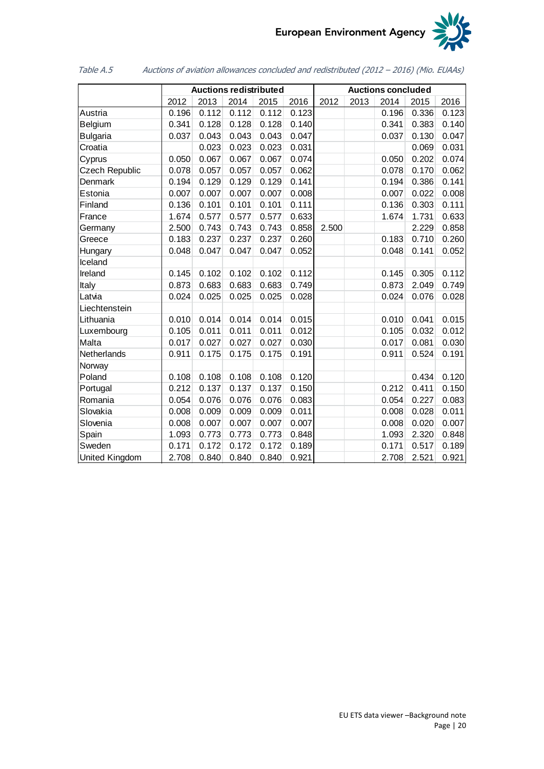

<span id="page-19-0"></span>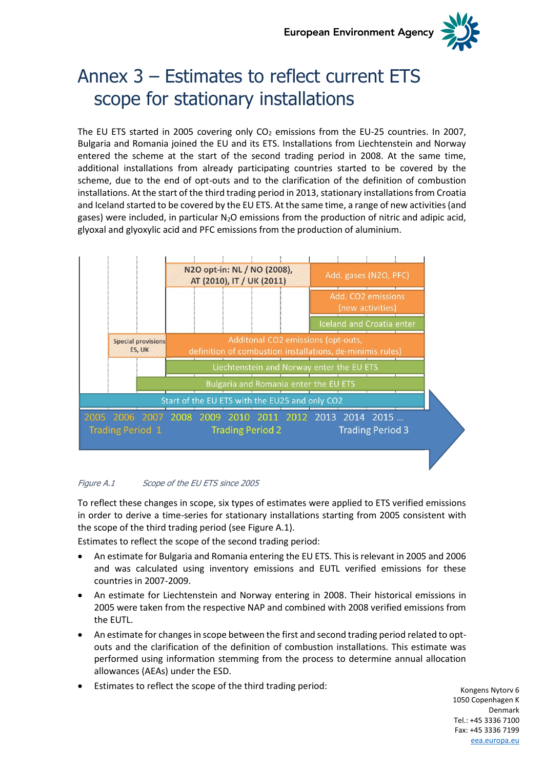

# <span id="page-20-0"></span>Annex 3 – Estimates to reflect current ETS scope for stationary installations

The EU ETS started in 2005 covering only  $CO<sub>2</sub>$  emissions from the EU-25 countries. In 2007, Bulgaria and Romania joined the EU and its ETS. Installations from Liechtenstein and Norway entered the scheme at the start of the second trading period in 2008. At the same time, additional installations from already participating countries started to be covered by the scheme, due to the end of opt-outs and to the clarification of the definition of combustion installations. At the start of the third trading period in 2013, stationary installations from Croatia and Iceland started to be covered by the EU ETS. At the same time, a range of new activities (and gases) were included, in particular N<sub>2</sub>O emissions from the production of nitric and adipic acid, glyoxal and glyoxylic acid and PFC emissions from the production of aluminium.



### <span id="page-20-1"></span>Figure A.1 Scope of the EU ETS since 2005

To reflect these changes in scope, six types of estimates were applied to ETS verified emissions in order to derive a time-series for stationary installations starting from 2005 consistent with the scope of the third trading period (see [Figure A.1\)](#page-20-1).

Estimates to reflect the scope of the second trading period:

- An estimate for Bulgaria and Romania entering the EU ETS. This is relevant in 2005 and 2006 and was calculated using inventory emissions and EUTL verified emissions for these countries in 2007-2009.
- An estimate for Liechtenstein and Norway entering in 2008. Their historical emissions in 2005 were taken from the respective NAP and combined with 2008 verified emissions from the EUTL.
- An estimate for changes in scope between the first and second trading period related to optouts and the clarification of the definition of combustion installations. This estimate was performed using information stemming from the process to determine annual allocation allowances (AEAs) under the ESD.
- Estimates to reflect the scope of the third trading period:

Kongens Nytorv 6 1050 Copenhagen K Denmark Tel.: +45 3336 7100 Fax: +45 3336 7199 [eea.europa.eu](http://www.eea.europa.eu/)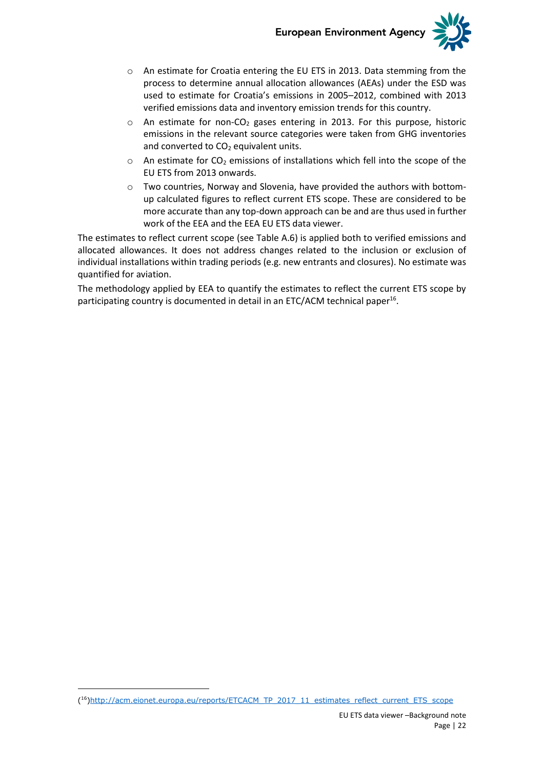

- o An estimate for Croatia entering the EU ETS in 2013. Data stemming from the process to determine annual allocation allowances (AEAs) under the ESD was used to estimate for Croatia's emissions in 2005–2012, combined with 2013 verified emissions data and inventory emission trends for this country.
- $\circ$  An estimate for non-CO<sub>2</sub> gases entering in 2013. For this purpose, historic emissions in the relevant source categories were taken from GHG inventories and converted to  $CO<sub>2</sub>$  equivalent units.
- $\circ$  An estimate for CO<sub>2</sub> emissions of installations which fell into the scope of the EU ETS from 2013 onwards.
- $\circ$  Two countries, Norway and Slovenia, have provided the authors with bottomup calculated figures to reflect current ETS scope. These are considered to be more accurate than any top-down approach can be and are thus used in further work of the EEA and the EEA EU ETS data viewer.

The estimates to reflect current scope (see [Table A.6\)](#page-22-0) is applied both to verified emissions and allocated allowances. It does not address changes related to the inclusion or exclusion of individual installations within trading periods (e.g. new entrants and closures). No estimate was quantified for aviation.

The methodology applied by EEA to quantify the estimates to reflect the current ETS scope by participating country is documented in detail in an ETC/ACM technical paper<sup>16</sup>.

<sup>(</sup> 16[\)http://acm.eionet.europa.eu/reports/ETCACM\\_TP\\_2017\\_11\\_estimates\\_reflect\\_current\\_ETS\\_scope](http://acm.eionet.europa.eu/reports/ETCACM_TP_2017_11_estimates_reflect_current_ETS_scope)